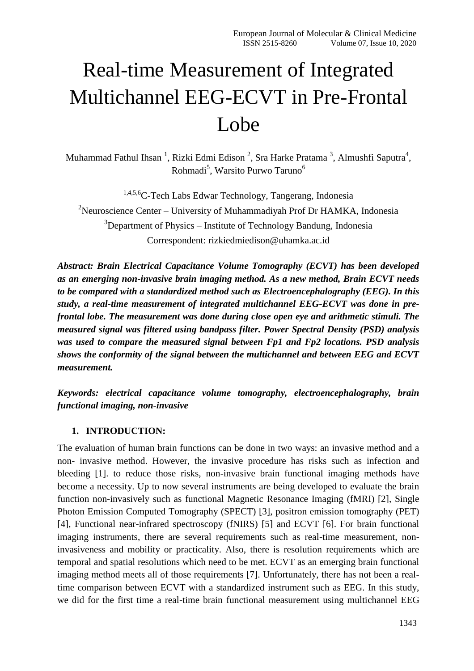# Real-time Measurement of Integrated Multichannel EEG-ECVT in Pre-Frontal Lobe

Muhammad Fathul Ihsan<sup>1</sup>, Rizki Edmi Edison<sup>2</sup>, Sra Harke Pratama<sup>3</sup>, Almushfi Saputra<sup>4</sup>, Rohmadi<sup>5</sup>, Warsito Purwo Taruno<sup>6</sup>

1,4,5,6C-Tech Labs Edwar Technology, Tangerang, Indonesia <sup>2</sup>Neuroscience Center – University of Muhammadiyah Prof Dr HAMKA, Indonesia  $3$ Department of Physics – Institute of Technology Bandung, Indonesia Correspondent: [rizkiedmiedison@uhamka.ac.id](mailto:rizkiedmiedison@uhamka.ac.id)

*Abstract: Brain Electrical Capacitance Volume Tomography (ECVT) has been developed as an emerging non-invasive brain imaging method. As a new method, Brain ECVT needs to be compared with a standardized method such as Electroencephalography (EEG). In this study, a real-time measurement of integrated multichannel EEG-ECVT was done in prefrontal lobe. The measurement was done during close open eye and arithmetic stimuli. The measured signal was filtered using bandpass filter. Power Spectral Density (PSD) analysis was used to compare the measured signal between Fp1 and Fp2 locations. PSD analysis shows the conformity of the signal between the multichannel and between EEG and ECVT measurement.*

*Keywords: electrical capacitance volume tomography, electroencephalography, brain functional imaging, non-invasive*

## **1. INTRODUCTION:**

The evaluation of human brain functions can be done in two ways: an invasive method and a non- invasive method. However, the invasive procedure has risks such as infection and bleeding [1]. to reduce those risks, non-invasive brain functional imaging methods have become a necessity. Up to now several instruments are being developed to evaluate the brain function non-invasively such as functional Magnetic Resonance Imaging (fMRI) [2], Single Photon Emission Computed Tomography (SPECT) [3], positron emission tomography (PET) [4], Functional near-infrared spectroscopy (fNIRS) [5] and ECVT [6]. For brain functional imaging instruments, there are several requirements such as real-time measurement, noninvasiveness and mobility or practicality. Also, there is resolution requirements which are temporal and spatial resolutions which need to be met. ECVT as an emerging brain functional imaging method meets all of those requirements [7]. Unfortunately, there has not been a realtime comparison between ECVT with a standardized instrument such as EEG. In this study, we did for the first time a real-time brain functional measurement using multichannel EEG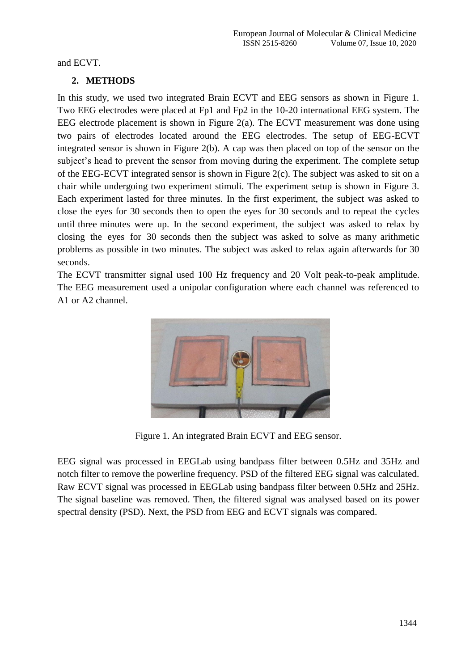and ECVT.

# **2. METHODS**

In this study, we used two integrated Brain ECVT and EEG sensors as shown in Figure 1. Two EEG electrodes were placed at Fp1 and Fp2 in the 10-20 international EEG system. The EEG electrode placement is shown in Figure 2(a). The ECVT measurement was done using two pairs of electrodes located around the EEG electrodes. The setup of EEG-ECVT integrated sensor is shown in Figure 2(b). A cap was then placed on top of the sensor on the subject's head to prevent the sensor from moving during the experiment. The complete setup of the EEG-ECVT integrated sensor is shown in Figure 2(c). The subject was asked to sit on a chair while undergoing two experiment stimuli. The experiment setup is shown in Figure 3. Each experiment lasted for three minutes. In the first experiment, the subject was asked to close the eyes for 30 seconds then to open the eyes for 30 seconds and to repeat the cycles until three minutes were up. In the second experiment, the subject was asked to relax by closing the eyes for 30 seconds then the subject was asked to solve as many arithmetic problems as possible in two minutes. The subject was asked to relax again afterwards for 30 seconds.

The ECVT transmitter signal used 100 Hz frequency and 20 Volt peak-to-peak amplitude. The EEG measurement used a unipolar configuration where each channel was referenced to A1 or A2 channel.



Figure 1. An integrated Brain ECVT and EEG sensor.

EEG signal was processed in EEGLab using bandpass filter between 0.5Hz and 35Hz and notch filter to remove the powerline frequency. PSD of the filtered EEG signal was calculated. Raw ECVT signal was processed in EEGLab using bandpass filter between 0.5Hz and 25Hz. The signal baseline was removed. Then, the filtered signal was analysed based on its power spectral density (PSD). Next, the PSD from EEG and ECVT signals was compared.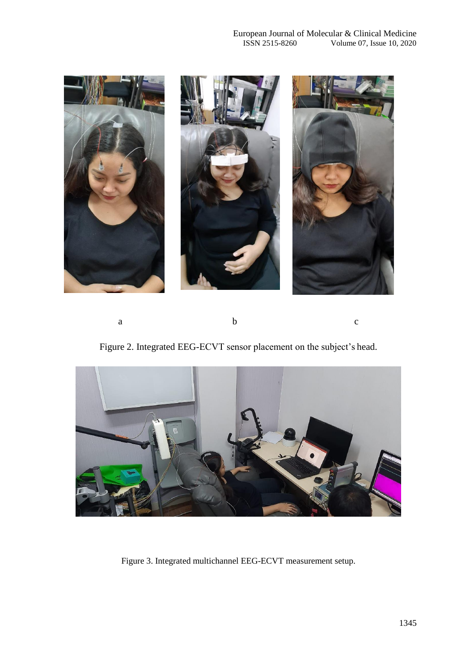

a b c

Figure 2. Integrated EEG-ECVT sensor placement on the subject's head.



Figure 3. Integrated multichannel EEG-ECVT measurement setup.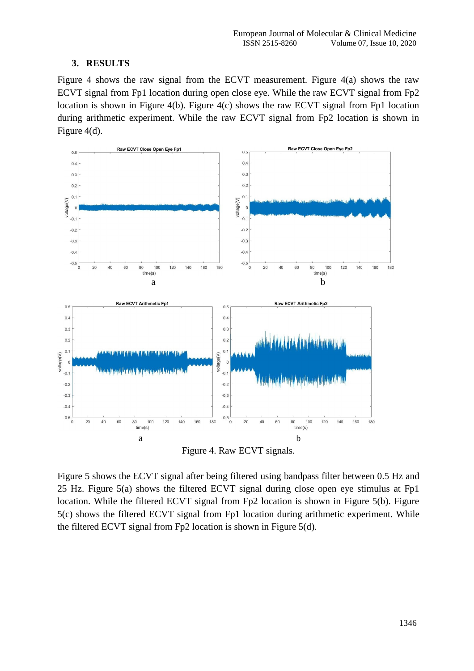## **3. RESULTS**

Figure 4 shows the raw signal from the ECVT measurement. Figure 4(a) shows the raw ECVT signal from Fp1 location during open close eye. While the raw ECVT signal from Fp2 location is shown in Figure 4(b). Figure 4(c) shows the raw ECVT signal from Fp1 location during arithmetic experiment. While the raw ECVT signal from Fp2 location is shown in Figure 4(d).



Figure 4. Raw ECVT signals.

Figure 5 shows the ECVT signal after being filtered using bandpass filter between 0.5 Hz and 25 Hz. Figure 5(a) shows the filtered ECVT signal during close open eye stimulus at Fp1 location. While the filtered ECVT signal from Fp2 location is shown in Figure 5(b). Figure 5(c) shows the filtered ECVT signal from Fp1 location during arithmetic experiment. While the filtered ECVT signal from Fp2 location is shown in Figure 5(d).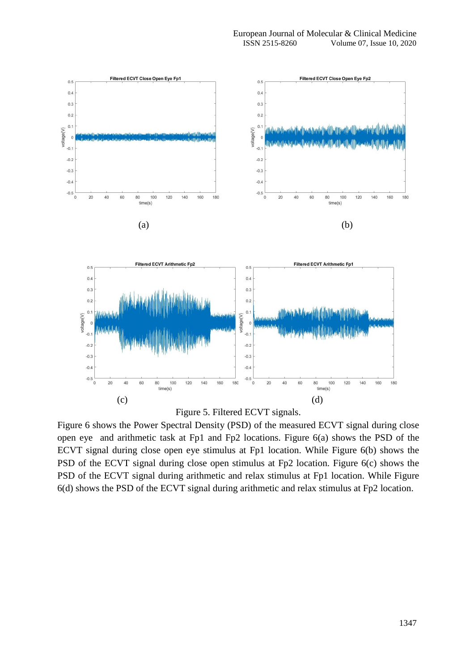

Figure 6 shows the Power Spectral Density (PSD) of the measured ECVT signal during close open eye and arithmetic task at Fp1 and Fp2 locations. Figure 6(a) shows the PSD of the ECVT signal during close open eye stimulus at Fp1 location. While Figure 6(b) shows the PSD of the ECVT signal during close open stimulus at Fp2 location. Figure 6(c) shows the PSD of the ECVT signal during arithmetic and relax stimulus at Fp1 location. While Figure 6(d) shows the PSD of the ECVT signal during arithmetic and relax stimulus at Fp2 location.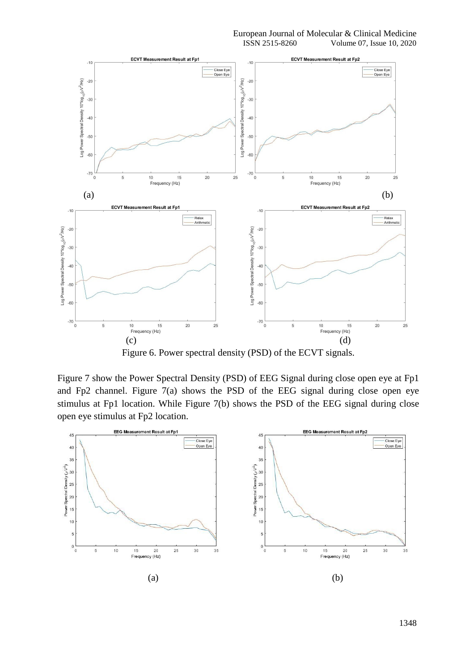

Figure 6. Power spectral density (PSD) of the ECVT signals.

Figure 7 show the Power Spectral Density (PSD) of EEG Signal during close open eye at Fp1 and Fp2 channel. Figure 7(a) shows the PSD of the EEG signal during close open eye stimulus at Fp1 location. While Figure 7(b) shows the PSD of the EEG signal during close open eye stimulus at Fp2 location.

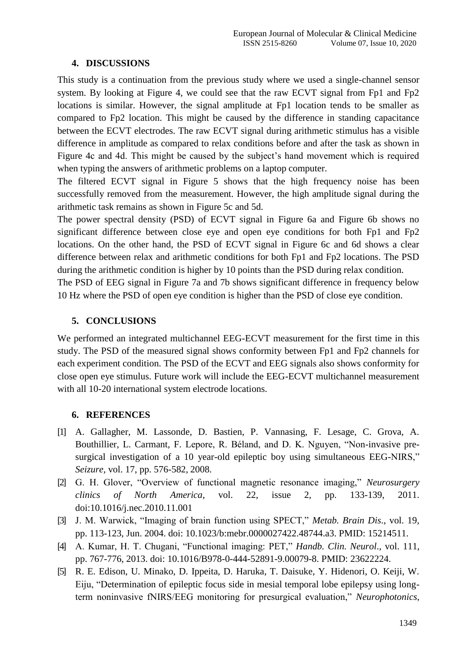#### **4. DISCUSSIONS**

This study is a continuation from the previous study where we used a single-channel sensor system. By looking at Figure 4, we could see that the raw ECVT signal from Fp1 and Fp2 locations is similar. However, the signal amplitude at Fp1 location tends to be smaller as compared to Fp2 location. This might be caused by the difference in standing capacitance between the ECVT electrodes. The raw ECVT signal during arithmetic stimulus has a visible difference in amplitude as compared to relax conditions before and after the task as shown in Figure 4c and 4d. This might be caused by the subject's hand movement which is required when typing the answers of arithmetic problems on a laptop computer.

The filtered ECVT signal in Figure 5 shows that the high frequency noise has been successfully removed from the measurement. However, the high amplitude signal during the arithmetic task remains as shown in Figure 5c and 5d.

The power spectral density (PSD) of ECVT signal in Figure 6a and Figure 6b shows no significant difference between close eye and open eye conditions for both Fp1 and Fp2 locations. On the other hand, the PSD of ECVT signal in Figure 6c and 6d shows a clear difference between relax and arithmetic conditions for both Fp1 and Fp2 locations. The PSD during the arithmetic condition is higher by 10 points than the PSD during relax condition.

The PSD of EEG signal in Figure 7a and 7b shows significant difference in frequency below 10 Hz where the PSD of open eye condition is higher than the PSD of close eye condition.

#### **5. CONCLUSIONS**

We performed an integrated multichannel EEG-ECVT measurement for the first time in this study. The PSD of the measured signal shows conformity between Fp1 and Fp2 channels for each experiment condition. The PSD of the ECVT and EEG signals also shows conformity for close open eye stimulus. Future work will include the EEG-ECVT multichannel measurement with all 10-20 international system electrode locations.

#### **6. REFERENCES**

- [1] A. Gallagher, M. Lassonde, D. Bastien, P. Vannasing, F. Lesage, C. Grova, A. Bouthillier, L. Carmant, F. Lepore, R. Béland, and D. K. Nguyen, "Non-invasive presurgical investigation of a 10 year-old epileptic boy using simultaneous EEG-NIRS," *Seizure*, vol. 17, pp. 576-582, 2008.
- [2] G. H. Glover, "Overview of functional magnetic resonance imaging," *Neurosurgery clinics of North America*, vol. 22, issue 2, pp. 133-139, 2011. doi:10.1016/j.nec.2010.11.001
- [3] J. M. Warwick, "Imaging of brain function using SPECT," *Metab. Brain Dis*., vol. 19, pp. 113-123, Jun. 2004. doi: 10.1023/b:mebr.0000027422.48744.a3. PMID: 15214511.
- [4] A. Kumar, H. T. Chugani, "Functional imaging: PET," *Handb. Clin. Neurol*., vol. 111, pp. 767-776, 2013. doi: 10.1016/B978-0-444-52891-9.00079-8. PMID: 23622224.
- [5] R. E. Edison, U. Minako, D. Ippeita, D. Haruka, T. Daisuke, Y. Hidenori, O. Keiji, W. Eiju, "Determination of epileptic focus side in mesial temporal lobe epilepsy using longterm noninvasive fNIRS/EEG monitoring for presurgical evaluation," *Neurophotonics*,